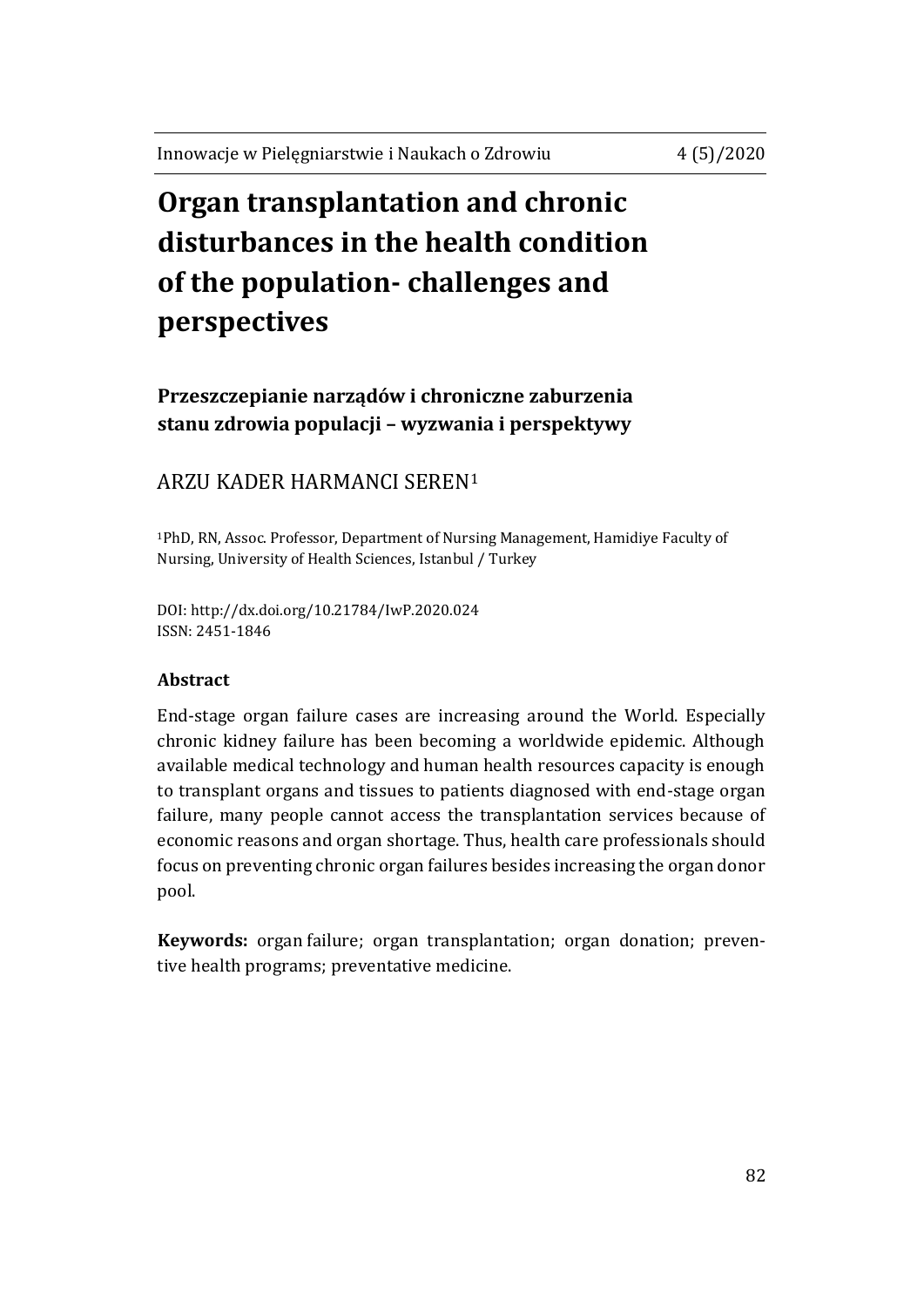# **Organ transplantation and chronic disturbances in the health condition of the population- challenges and perspectives**

**Przeszczepianie narządów i chroniczne zaburzenia stanu zdrowia populacji – wyzwania i perspektywy**

# ARZU KADER HARMANCI SEREN<sup>1</sup>

<sup>1</sup>PhD, RN, Assoc. Professor, Department of Nursing Management, Hamidiye Faculty of Nursing, University of Health Sciences, Istanbul / Turkey

DOI: http://dx.doi.org/10.21784/IwP.2020.024 ISSN: 2451-1846

#### **Abstract**

End-stage organ failure cases are increasing around the World. Especially chronic kidney failure has been becoming a worldwide epidemic. Although available medical technology and human health resources capacity is enough to transplant organs and tissues to patients diagnosed with end-stage organ failure, many people cannot access the transplantation services because of economic reasons and organ shortage. Thus, health care professionals should focus on preventing chronic organ failures besides increasing the organ donor pool.

**Keywords:** organ failure; [organ transplantation;](https://meshb.nlm.nih.gov/record/ui?ui=D016377) organ donation; preventive health programs; preventative medicine.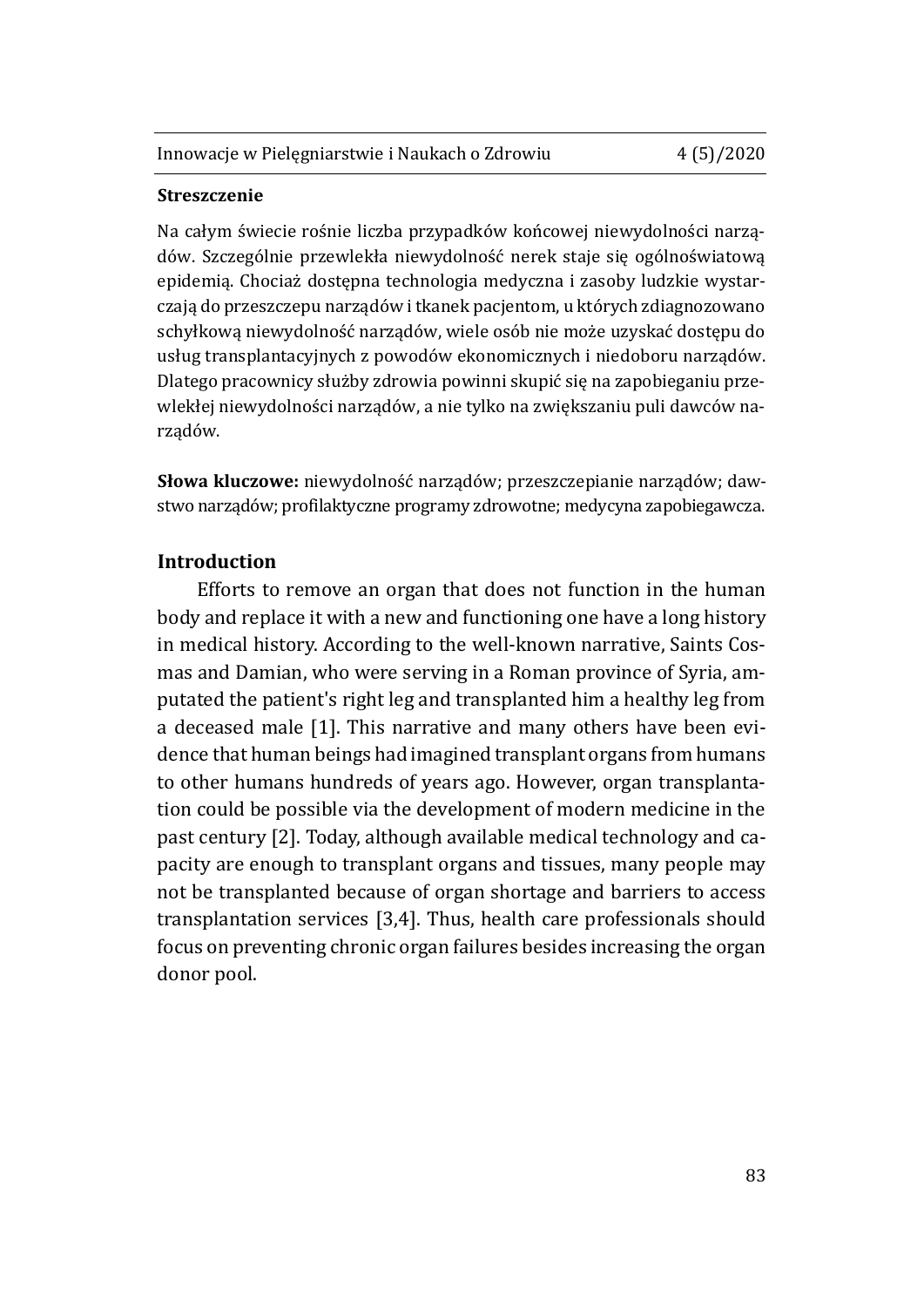#### **Streszczenie**

Na całym świecie rośnie liczba przypadków końcowej niewydolności narządów. Szczególnie przewlekła niewydolność nerek staje się ogólnoświatową epidemią. Chociaż dostępna technologia medyczna i zasoby ludzkie wystarczają do przeszczepu narządów i tkanek pacjentom, u których zdiagnozowano schyłkową niewydolność narządów, wiele osób nie może uzyskać dostępu do usług transplantacyjnych z powodów ekonomicznych i niedoboru narządów. Dlatego pracownicy służby zdrowia powinni skupić się na zapobieganiu przewlekłej niewydolności narządów, a nie tylko na zwiększaniu puli dawców narządów.

**Słowa kluczowe:** niewydolność narządów; przeszczepianie narządów; dawstwo narządów; profilaktyczne programy zdrowotne; medycyna zapobiegawcza.

#### **Introduction**

Efforts to remove an organ that does not function in the human body and replace it with a new and functioning one have a long history in medical history. According to the well-known narrative, Saints Cosmas and Damian, who were serving in a Roman province of Syria, amputated the patient's right leg and transplanted him a healthy leg from a deceased male [1]. This narrative and many others have been evidence that human beings had imagined transplant organs from humans to other humans hundreds of years ago. However, organ transplantation could be possible via the development of modern medicine in the past century [2]. Today, although available medical technology and capacity are enough to transplant organs and tissues, many people may not be transplanted because of organ shortage and barriers to access transplantation services [3,4]. Thus, health care professionals should focus on preventing chronic organ failures besides increasing the organ donor pool.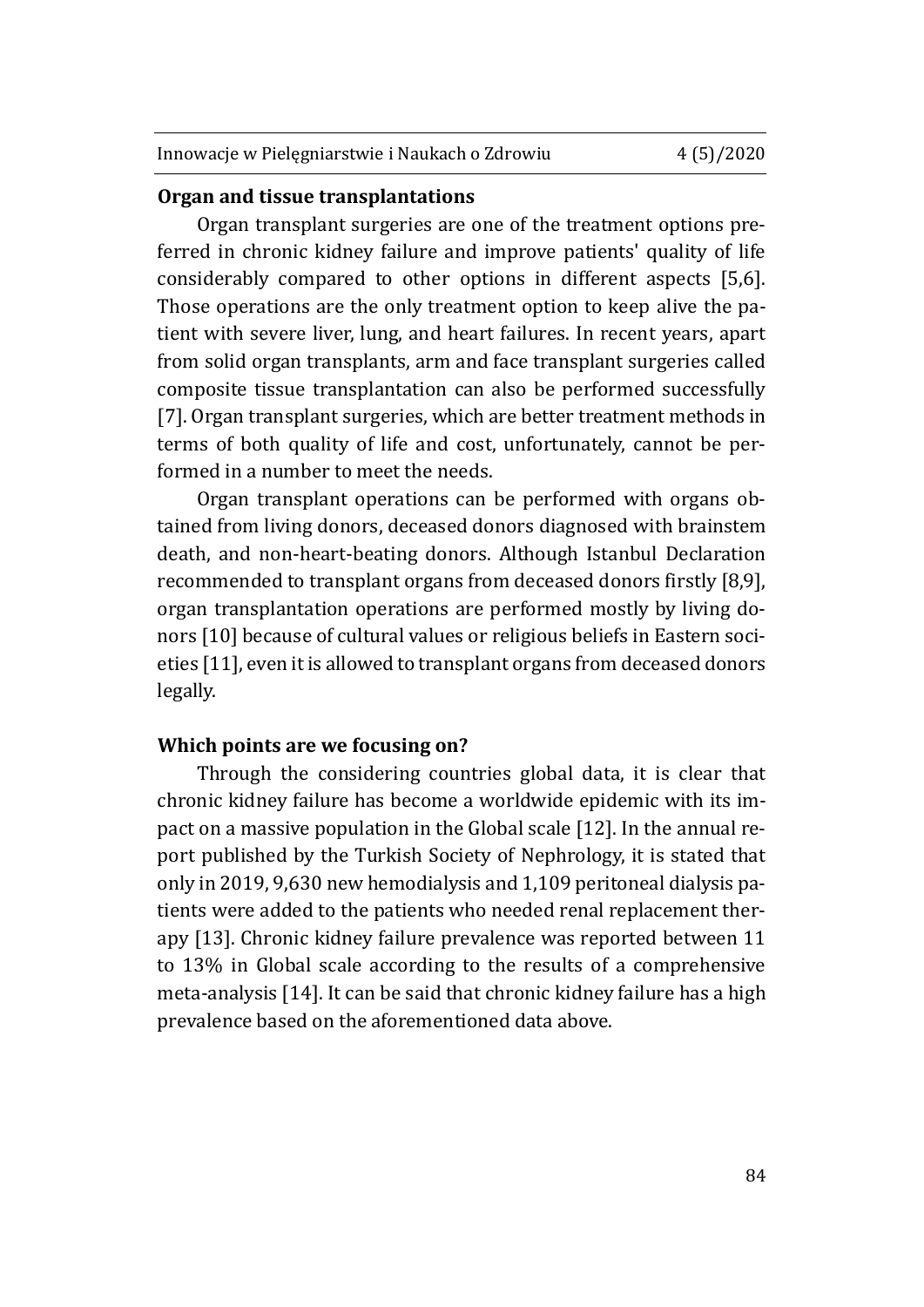#### **Organ and tissue transplantations**

Organ transplant surgeries are one of the treatment options preferred in chronic kidney failure and improve patients' quality of life considerably compared to other options in different aspects [5,6]. Those operations are the only treatment option to keep alive the patient with severe liver, lung, and heart failures. In recent years, apart from solid organ transplants, arm and face transplant surgeries called composite tissue transplantation can also be performed successfully [7]. Organ transplant surgeries, which are better treatment methods in terms of both quality of life and cost, unfortunately, cannot be performed in a number to meet the needs.

Organ transplant operations can be performed with organs obtained from living donors, deceased donors diagnosed with brainstem death, and non-heart-beating donors. Although Istanbul Declaration recommended to transplant organs from deceased donors firstly [8,9], organ transplantation operations are performed mostly by living donors [10] because of cultural values or religious beliefs in Eastern societies [11], even it is allowed to transplant organs from deceased donors legally.

### **Which points are we focusing on?**

Through the considering countries global data, it is clear that chronic kidney failure has become a worldwide epidemic with its impact on a massive population in the Global scale [12]. In the annual report published by the Turkish Society of Nephrology, it is stated that only in 2019, 9,630 new hemodialysis and 1,109 peritoneal dialysis patients were added to the patients who needed renal replacement therapy [13]. Chronic kidney failure prevalence was reported between 11 to 13% in Global scale according to the results of a comprehensive meta-analysis [14]. It can be said that chronic kidney failure has a high prevalence based on the aforementioned data above.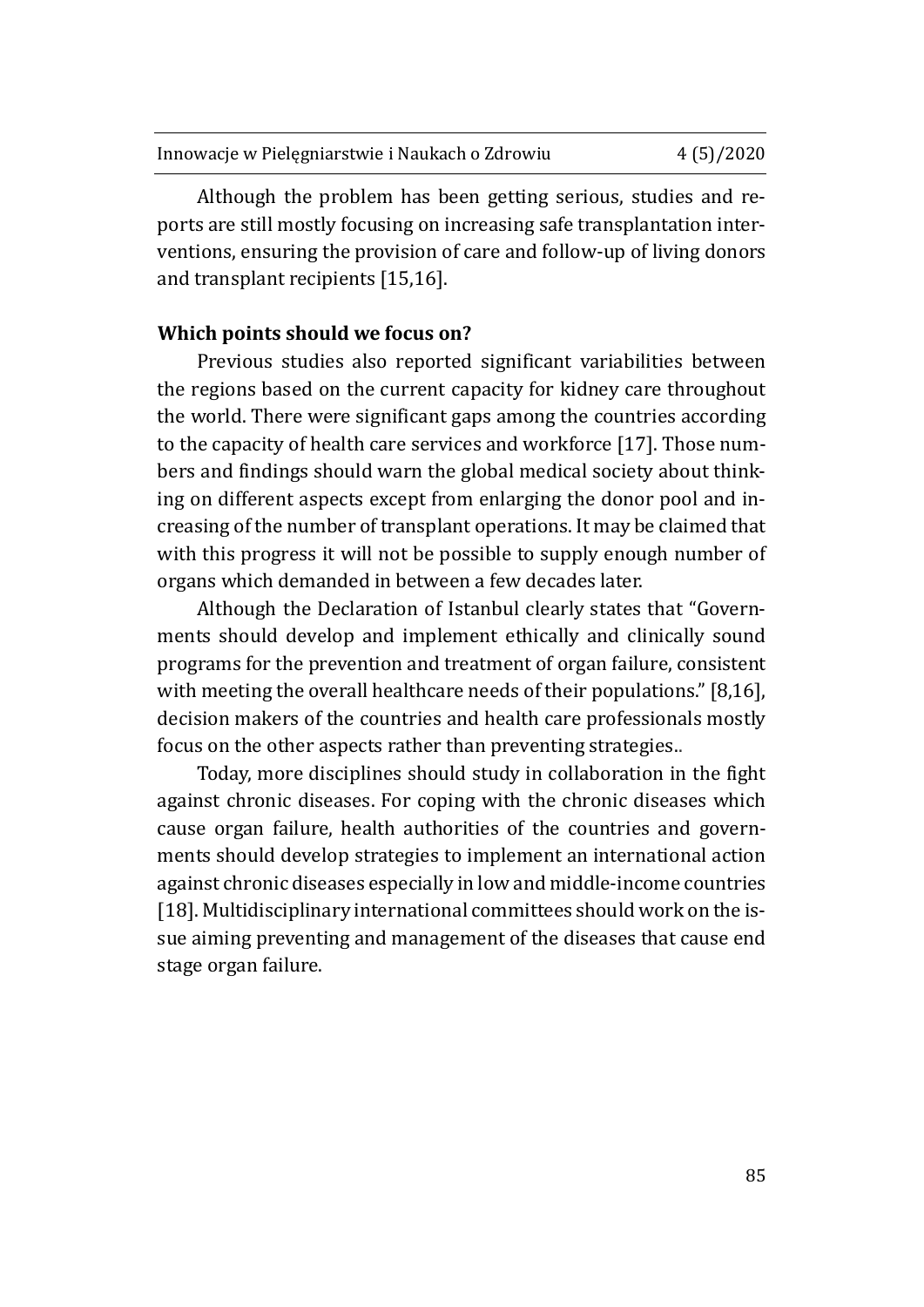| Innowacje w Pielęgniarstwie i Naukach o Zdrowiu | 4(5)/2020 |
|-------------------------------------------------|-----------|
|                                                 |           |

Although the problem has been getting serious, studies and reports are still mostly focusing on increasing safe transplantation interventions, ensuring the provision of care and follow-up of living donors and transplant recipients [15,16].

# **Which points should we focus on?**

Previous studies also reported significant variabilities between the regions based on the current capacity for kidney care throughout the world. There were significant gaps among the countries according to the capacity of health care services and workforce [17]. Those numbers and findings should warn the global medical society about thinking on different aspects except from enlarging the donor pool and increasing of the number of transplant operations. It may be claimed that with this progress it will not be possible to supply enough number of organs which demanded in between a few decades later.

Although the Declaration of Istanbul clearly states that "Governments should develop and implement ethically and clinically sound programs for the prevention and treatment of organ failure, consistent with meeting the overall healthcare needs of their populations." [8,16], decision makers of the countries and health care professionals mostly focus on the other aspects rather than preventing strategies..

Today, more disciplines should study in collaboration in the fight against chronic diseases. For coping with the chronic diseases which cause organ failure, health authorities of the countries and governments should develop strategies to implement an international action against chronic diseases especially in low and middle-income countries [18]. Multidisciplinary international committees should work on the issue aiming preventing and management of the diseases that cause end stage organ failure.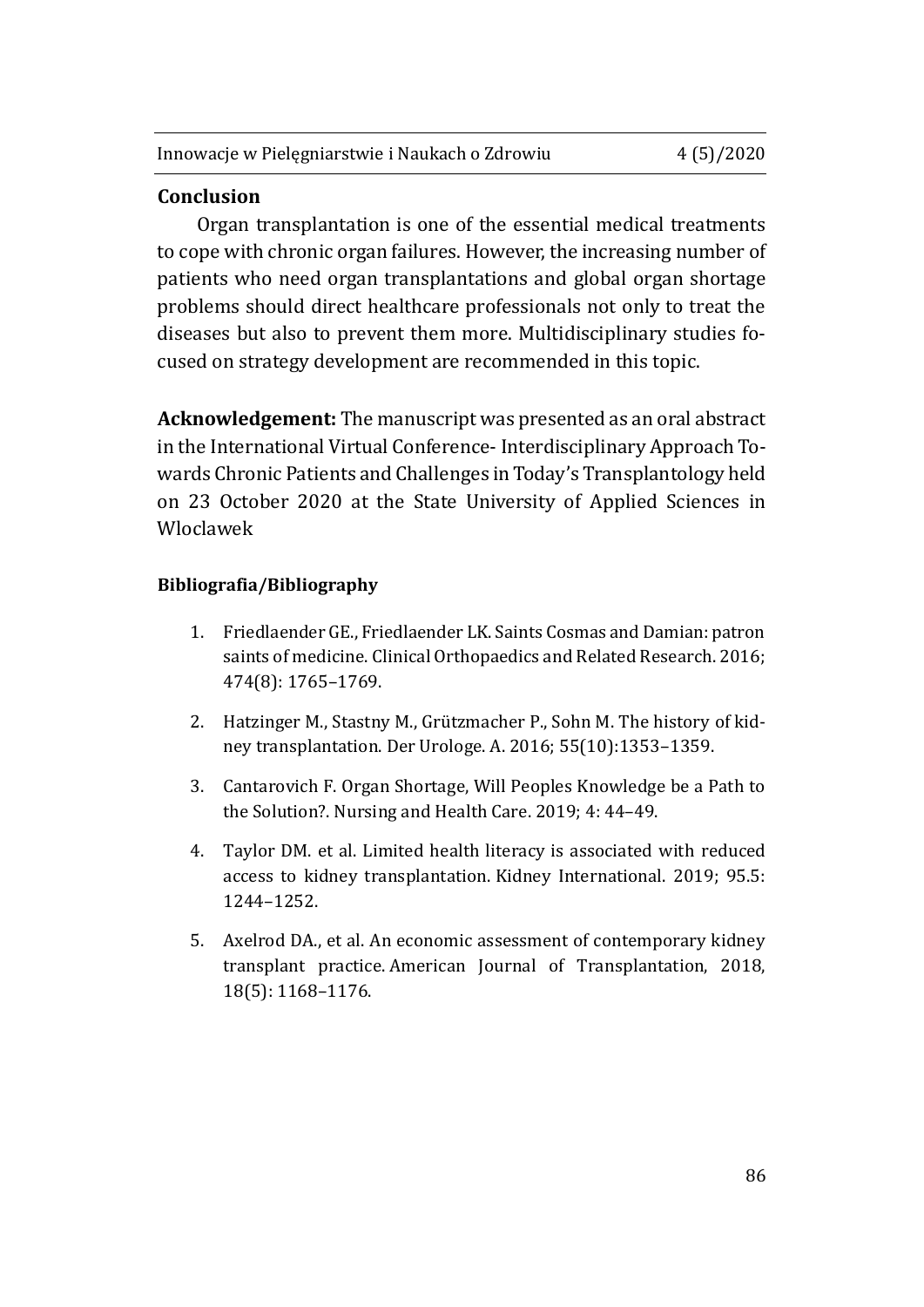## **Conclusion**

Organ transplantation is one of the essential medical treatments to cope with chronic organ failures. However, the increasing number of patients who need organ transplantations and global organ shortage problems should direct healthcare professionals not only to treat the diseases but also to prevent them more. Multidisciplinary studies focused on strategy development are recommended in this topic.

**Acknowledgement:** The manuscript was presented as an oral abstract in the International Virtual Conference- Interdisciplinary Approach Towards Chronic Patients and Challenges in Today's Transplantology held on 23 October 2020 at the State University of Applied Sciences in Wloclawek

#### **Bibliografia/Bibliography**

- 1. Friedlaender GE., Friedlaender LK. Saints Cosmas and Damian: patron saints of medicine. Clinical Orthopaedics and Related Research. 2016; 474(8): 1765–1769.
- 2. Hatzinger M., Stastny M., Grützmacher P., Sohn M. The history of kidney transplantation. Der Urologe. A. 2016; 55(10):1353–1359.
- 3. Cantarovich F. Organ Shortage, Will Peoples Knowledge be a Path to the Solution?. Nursing and Health Care. 2019; 4: 44–49.
- 4. Taylor DM. et al. Limited health literacy is associated with reduced access to kidney transplantation. Kidney International. 2019; 95.5: 1244–1252.
- 5. Axelrod DA., et al. An economic assessment of contemporary kidney transplant practice. American Journal of Transplantation, 2018, 18(5): 1168–1176.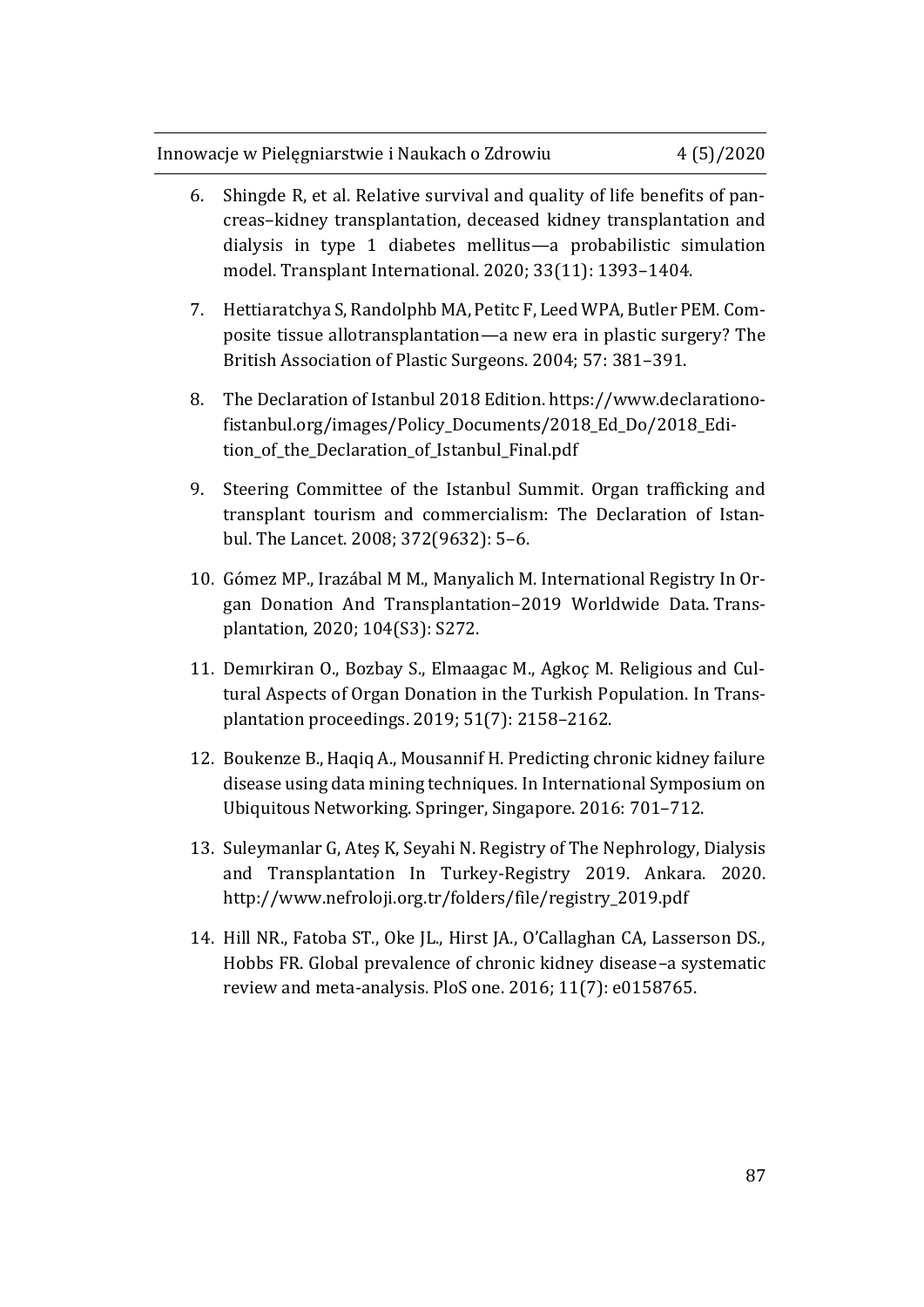- 6. Shingde R, et al. Relative survival and quality of life benefits of pancreas–kidney transplantation, deceased kidney transplantation and dialysis in type 1 diabetes mellitus—a probabilistic simulation model. Transplant International. 2020; 33(11): 1393–1404.
- 7. Hettiaratchya S, Randolphb MA, Petitc F, Leed WPA, Butler PEM. Composite tissue allotransplantation—a new era in plastic surgery? The British Association of Plastic Surgeons. 2004; 57: 381–391.
- 8. The Declaration of Istanbul 2018 Edition. [https://www.declarationo](https://www.declarationofistanbul.org/images/Policy_Documents/2018_Ed_Do/2018_Edition_of_the_Declaration_of_Istanbul_Final.pdf)[fistanbul.org/images/Policy\\_Documents/2018\\_Ed\\_Do/2018\\_Edi](https://www.declarationofistanbul.org/images/Policy_Documents/2018_Ed_Do/2018_Edition_of_the_Declaration_of_Istanbul_Final.pdf)[tion\\_of\\_the\\_Declaration\\_of\\_Istanbul\\_Final.pdf](https://www.declarationofistanbul.org/images/Policy_Documents/2018_Ed_Do/2018_Edition_of_the_Declaration_of_Istanbul_Final.pdf)
- 9. Steering Committee of the Istanbul Summit. Organ trafficking and transplant tourism and commercialism: The Declaration of Istanbul. The Lancet. 2008; 372(9632): 5–6.
- 10. Gómez MP., Irazábal M M., Manyalich M. International Registry In Organ Donation And Transplantation–2019 Worldwide Data. Transplantation, 2020; 104(S3): S272.
- 11. Demırkiran O., Bozbay S., Elmaagac M., Agkoç M. Religious and Cultural Aspects of Organ Donation in the Turkish Population. In Transplantation proceedings. 2019; 51(7): 2158–2162.
- 12. Boukenze B., Haqiq A., Mousannif H. Predicting chronic kidney failure disease using data mining techniques. In International Symposium on Ubiquitous Networking. Springer, Singapore. 2016: 701–712.
- 13. Suleymanlar G, Ateş K, Seyahi N. Registry of The Nephrology, Dialysis and Transplantation In Turkey-Registry 2019. Ankara. 2020. [http://www.nefroloji.org.tr/folders/file/registry\\_2019.pdf](http://www.nefroloji.org.tr/folders/file/registry_2019.pdf)
- 14. Hill NR., Fatoba ST., Oke JL., Hirst JA., O'Callaghan CA, Lasserson DS., Hobbs FR. Global prevalence of chronic kidney disease–a systematic review and meta-analysis. PloS one. 2016; 11(7): e0158765.